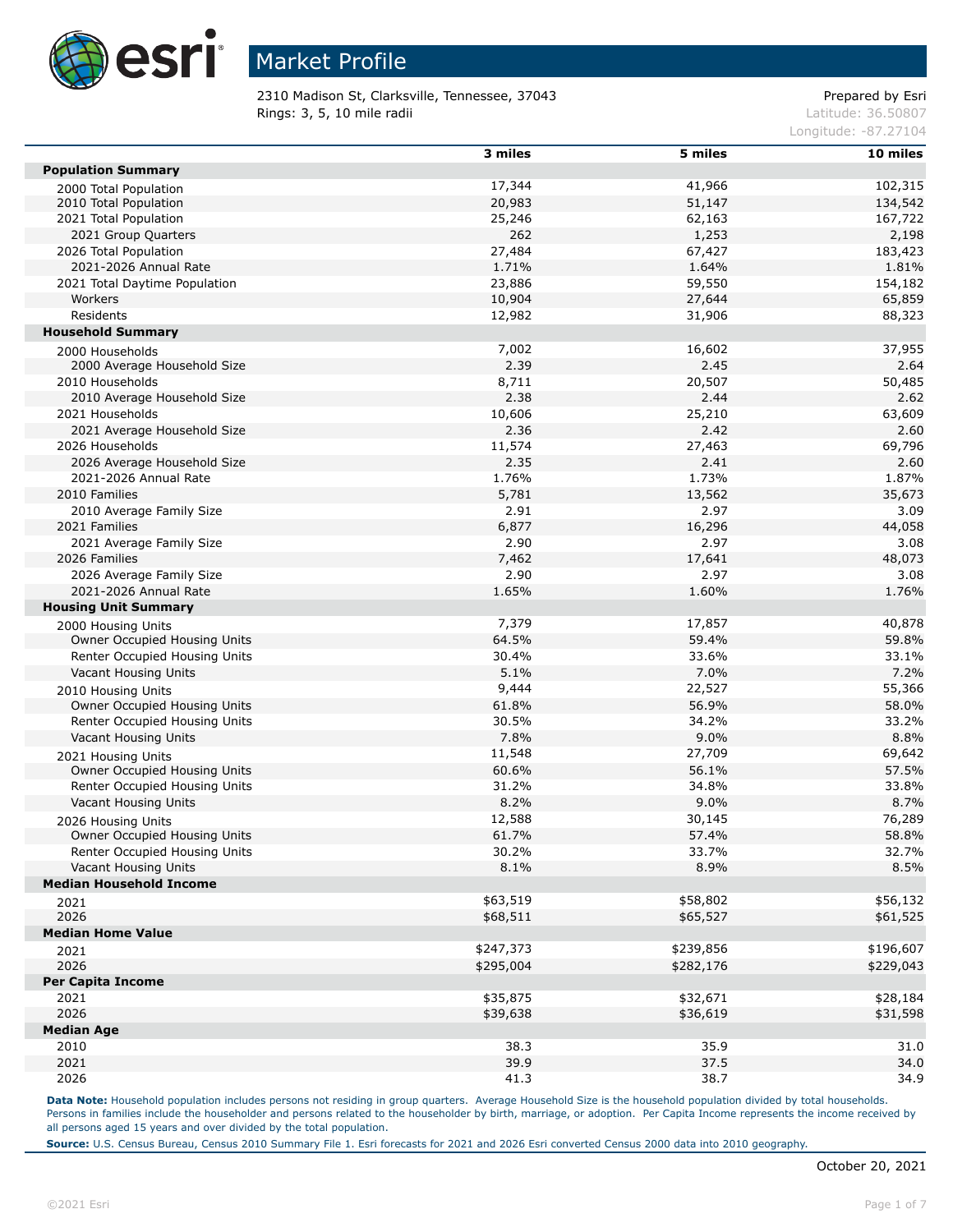

2310 Madison St, Clarksville, Tennessee, 37043 Prepared by Esri **Rings: 3, 5, 10 mile radii**  $\blacksquare$  **Rings: 3, 5, 10 mile radii** 

Longitude: -87.27104

|                                     | 3 miles   | 5 miles   | 10 miles  |
|-------------------------------------|-----------|-----------|-----------|
| <b>Population Summary</b>           |           |           |           |
| 2000 Total Population               | 17,344    | 41,966    | 102,315   |
| 2010 Total Population               | 20,983    | 51,147    | 134,542   |
| 2021 Total Population               | 25,246    | 62,163    | 167,722   |
| 2021 Group Quarters                 | 262       | 1,253     | 2,198     |
| 2026 Total Population               | 27,484    | 67,427    | 183,423   |
| 2021-2026 Annual Rate               | 1.71%     | 1.64%     | 1.81%     |
| 2021 Total Daytime Population       | 23,886    | 59,550    | 154,182   |
| Workers                             | 10,904    | 27,644    | 65,859    |
| Residents                           | 12,982    | 31,906    | 88,323    |
| <b>Household Summary</b>            |           |           |           |
| 2000 Households                     | 7,002     | 16,602    | 37,955    |
| 2000 Average Household Size         | 2.39      | 2.45      | 2.64      |
| 2010 Households                     | 8,711     | 20,507    | 50,485    |
| 2010 Average Household Size         | 2.38      | 2.44      | 2.62      |
| 2021 Households                     | 10,606    | 25,210    | 63,609    |
| 2021 Average Household Size         | 2.36      | 2.42      | 2.60      |
| 2026 Households                     | 11,574    | 27,463    | 69,796    |
| 2026 Average Household Size         | 2.35      | 2.41      | 2.60      |
| 2021-2026 Annual Rate               | 1.76%     | 1.73%     | 1.87%     |
| 2010 Families                       | 5,781     | 13,562    | 35,673    |
| 2010 Average Family Size            | 2.91      | 2.97      | 3.09      |
| 2021 Families                       | 6,877     | 16,296    | 44,058    |
| 2021 Average Family Size            | 2.90      | 2.97      | 3.08      |
| 2026 Families                       | 7,462     | 17,641    | 48,073    |
| 2026 Average Family Size            | 2.90      | 2.97      | 3.08      |
| 2021-2026 Annual Rate               | 1.65%     | 1.60%     | 1.76%     |
| <b>Housing Unit Summary</b>         |           |           |           |
| 2000 Housing Units                  | 7,379     | 17,857    | 40,878    |
| Owner Occupied Housing Units        | 64.5%     | 59.4%     | 59.8%     |
| Renter Occupied Housing Units       | 30.4%     | 33.6%     | 33.1%     |
| Vacant Housing Units                | 5.1%      | 7.0%      | 7.2%      |
| 2010 Housing Units                  | 9,444     | 22,527    | 55,366    |
| Owner Occupied Housing Units        | 61.8%     | 56.9%     | 58.0%     |
| Renter Occupied Housing Units       | 30.5%     | 34.2%     | 33.2%     |
| Vacant Housing Units                | 7.8%      | 9.0%      | 8.8%      |
| 2021 Housing Units                  | 11,548    | 27,709    | 69,642    |
| Owner Occupied Housing Units        | 60.6%     | 56.1%     | 57.5%     |
| Renter Occupied Housing Units       | 31.2%     | 34.8%     | 33.8%     |
| Vacant Housing Units                | 8.2%      | 9.0%      | 8.7%      |
| 2026 Housing Units                  | 12,588    | 30,145    | 76,289    |
| <b>Owner Occupied Housing Units</b> | 61.7%     | 57.4%     | 58.8%     |
| Renter Occupied Housing Units       | 30.2%     | 33.7%     | 32.7%     |
| Vacant Housing Units                | 8.1%      | 8.9%      | 8.5%      |
| <b>Median Household Income</b>      |           |           |           |
|                                     | \$63,519  | \$58,802  | \$56,132  |
| 2021<br>2026                        | \$68,511  | \$65,527  | \$61,525  |
| <b>Median Home Value</b>            |           |           |           |
|                                     | \$247,373 | \$239,856 | \$196,607 |
| 2021<br>2026                        | \$295,004 | \$282,176 | \$229,043 |
| <b>Per Capita Income</b>            |           |           |           |
| 2021                                | \$35,875  | \$32,671  | \$28,184  |
| 2026                                |           |           | \$31,598  |
| <b>Median Age</b>                   | \$39,638  | \$36,619  |           |
|                                     | 38.3      | 35.9      | 31.0      |
| 2010<br>2021                        | 39.9      | 37.5      | 34.0      |
|                                     |           |           |           |
| 2026                                | 41.3      | 38.7      | 34.9      |

Data Note: Household population includes persons not residing in group quarters. Average Household Size is the household population divided by total households. Persons in families include the householder and persons related to the householder by birth, marriage, or adoption. Per Capita Income represents the income received by all persons aged 15 years and over divided by the total population.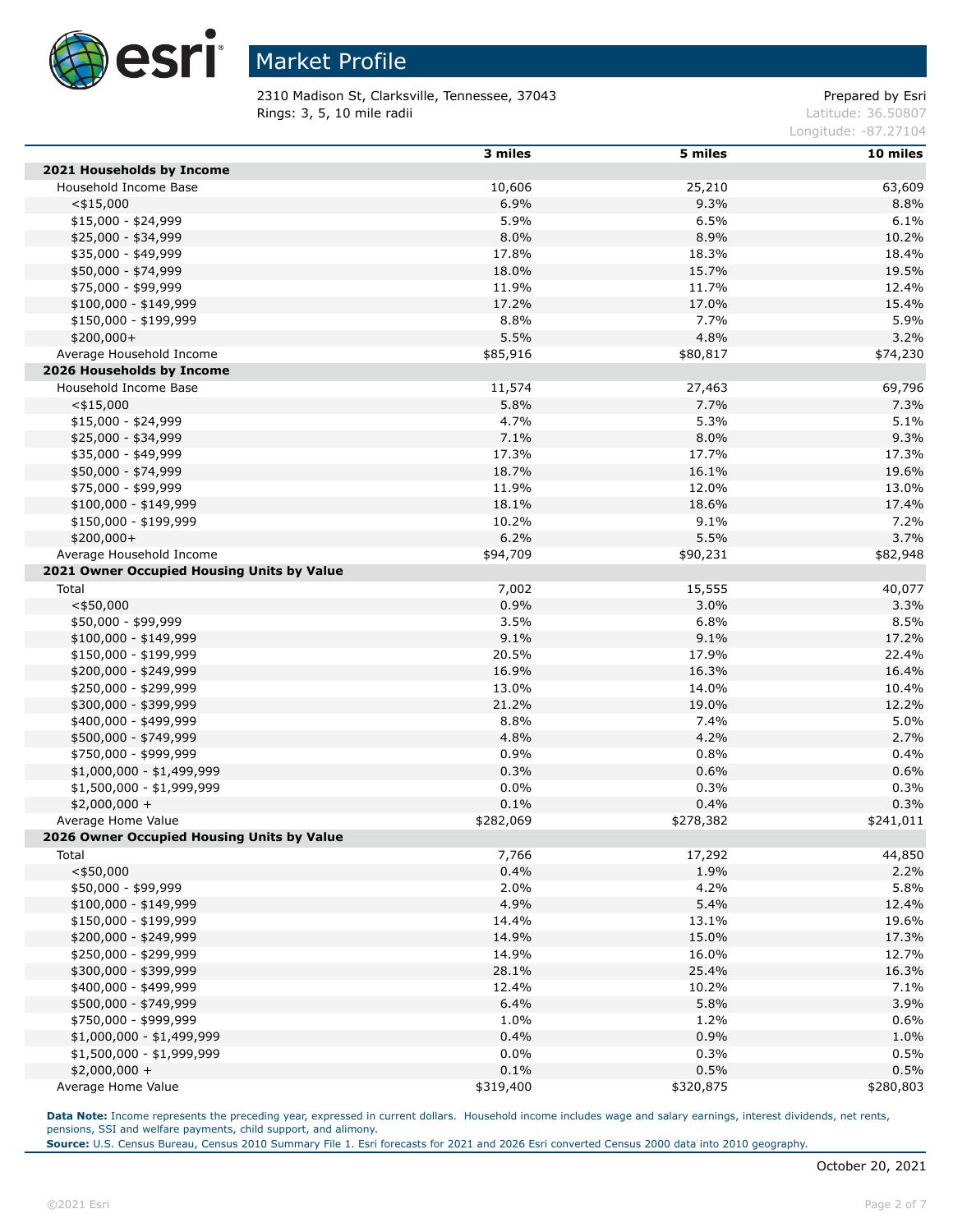

2310 Madison St, Clarksville, Tennessee, 37043 Prepared by Esri **Rings: 3, 5, 10 mile radii**  $\blacksquare$  **Rings: 3, 5, 10 mile radii**  $\blacksquare$ 

Longitude: -87.27104

|                                            | 3 miles   | 5 miles   | 10 miles  |
|--------------------------------------------|-----------|-----------|-----------|
| 2021 Households by Income                  |           |           |           |
| Household Income Base                      | 10,606    | 25,210    | 63,609    |
| $<$ \$15,000                               | 6.9%      | 9.3%      | 8.8%      |
| $$15,000 - $24,999$                        | 5.9%      | 6.5%      | 6.1%      |
| $$25,000 - $34,999$                        | 8.0%      | 8.9%      | 10.2%     |
| \$35,000 - \$49,999                        | 17.8%     | 18.3%     | 18.4%     |
| \$50,000 - \$74,999                        | 18.0%     | 15.7%     | 19.5%     |
| \$75,000 - \$99,999                        | 11.9%     | 11.7%     | 12.4%     |
| $$100,000 - $149,999$                      | 17.2%     | 17.0%     | 15.4%     |
| \$150,000 - \$199,999                      | 8.8%      | 7.7%      | 5.9%      |
| \$200,000+                                 | 5.5%      | 4.8%      | 3.2%      |
| Average Household Income                   | \$85,916  | \$80,817  | \$74,230  |
| 2026 Households by Income                  |           |           |           |
| Household Income Base                      | 11,574    | 27,463    | 69,796    |
| $<$ \$15,000                               | 5.8%      | 7.7%      | 7.3%      |
| $$15,000 - $24,999$                        | 4.7%      | 5.3%      | 5.1%      |
| \$25,000 - \$34,999                        | 7.1%      | 8.0%      | 9.3%      |
| \$35,000 - \$49,999                        | 17.3%     | 17.7%     | 17.3%     |
| \$50,000 - \$74,999                        | 18.7%     | 16.1%     | 19.6%     |
| \$75,000 - \$99,999                        | 11.9%     | 12.0%     | 13.0%     |
| $$100,000 - $149,999$                      | 18.1%     | 18.6%     | 17.4%     |
| \$150,000 - \$199,999                      | 10.2%     | 9.1%      | 7.2%      |
| $$200,000+$                                | 6.2%      | 5.5%      | 3.7%      |
| Average Household Income                   | \$94,709  | \$90,231  | \$82,948  |
| 2021 Owner Occupied Housing Units by Value |           |           |           |
| Total                                      | 7,002     | 15,555    | 40,077    |
| $<$ \$50,000                               | 0.9%      | 3.0%      | 3.3%      |
| \$50,000 - \$99,999                        | 3.5%      | 6.8%      | 8.5%      |
| $$100,000 - $149,999$                      | 9.1%      | 9.1%      | 17.2%     |
| \$150,000 - \$199,999                      | 20.5%     | 17.9%     | 22.4%     |
| \$200,000 - \$249,999                      | 16.9%     | 16.3%     | 16.4%     |
| \$250,000 - \$299,999                      | 13.0%     | 14.0%     | 10.4%     |
| \$300,000 - \$399,999                      | 21.2%     | 19.0%     | 12.2%     |
| \$400,000 - \$499,999                      | 8.8%      | 7.4%      | 5.0%      |
| \$500,000 - \$749,999                      | 4.8%      | 4.2%      | 2.7%      |
| \$750,000 - \$999,999                      | 0.9%      | 0.8%      | 0.4%      |
| \$1,000,000 - \$1,499,999                  | 0.3%      | 0.6%      | 0.6%      |
| \$1,500,000 - \$1,999,999                  | 0.0%      | 0.3%      | 0.3%      |
| $$2,000,000 +$                             | 0.1%      | 0.4%      | 0.3%      |
| Average Home Value                         | \$282,069 | \$278,382 | \$241,011 |
| 2026 Owner Occupied Housing Units by Value |           |           |           |
| Total                                      | 7,766     | 17,292    | 44,850    |
| $<$ \$50,000                               | 0.4%      | 1.9%      | 2.2%      |
| \$50,000 - \$99,999                        | 2.0%      | 4.2%      | 5.8%      |
| \$100,000 - \$149,999                      | 4.9%      | 5.4%      | 12.4%     |
| \$150,000 - \$199,999                      | 14.4%     | 13.1%     | 19.6%     |
| \$200,000 - \$249,999                      | 14.9%     | 15.0%     | 17.3%     |
| \$250,000 - \$299,999                      | 14.9%     | 16.0%     | 12.7%     |
| \$300,000 - \$399,999                      | 28.1%     | 25.4%     | 16.3%     |
| \$400,000 - \$499,999                      | 12.4%     | 10.2%     | 7.1%      |
| \$500,000 - \$749,999                      | 6.4%      | 5.8%      | 3.9%      |
| \$750,000 - \$999,999                      | 1.0%      | 1.2%      | 0.6%      |
| $$1,000,000 - $1,499,999$                  | 0.4%      | 0.9%      | 1.0%      |
| \$1,500,000 - \$1,999,999                  | 0.0%      | 0.3%      | 0.5%      |
| $$2,000,000 +$                             | 0.1%      | 0.5%      | 0.5%      |
| Average Home Value                         | \$319,400 | \$320,875 | \$280,803 |

**Data Note:** Income represents the preceding year, expressed in current dollars. Household income includes wage and salary earnings, interest dividends, net rents, pensions, SSI and welfare payments, child support, and alimony.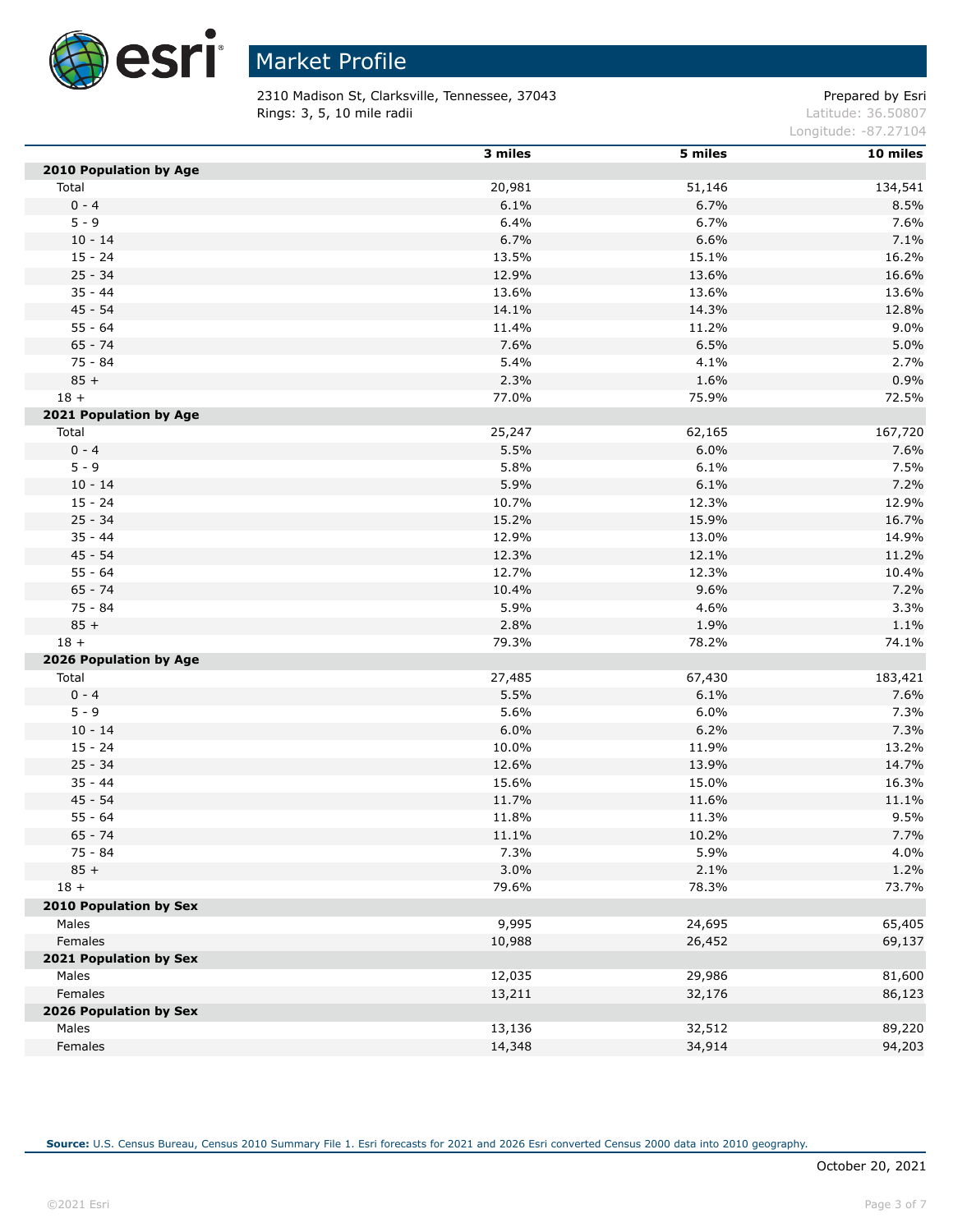

2310 Madison St, Clarksville, Tennessee, 37043 Prepared by Esri **Rings: 3, 5, 10 mile radii**  $\blacksquare$  **Rings: 3, 5, 10 mile radii**  $\blacksquare$ 

Longitude: -87.27104

|                        | 3 miles | 5 miles | 10 miles |
|------------------------|---------|---------|----------|
| 2010 Population by Age |         |         |          |
| Total                  | 20,981  | 51,146  | 134,541  |
| $0 - 4$                | 6.1%    | 6.7%    | 8.5%     |
| $5 - 9$                | 6.4%    | 6.7%    | 7.6%     |
| $10 - 14$              | 6.7%    | 6.6%    | 7.1%     |
| $15 - 24$              | 13.5%   | 15.1%   | 16.2%    |
| $25 - 34$              | 12.9%   | 13.6%   | 16.6%    |
| $35 - 44$              | 13.6%   | 13.6%   | 13.6%    |
| $45 - 54$              | 14.1%   | 14.3%   | 12.8%    |
| $55 - 64$              | 11.4%   | 11.2%   | 9.0%     |
| $65 - 74$              | 7.6%    | 6.5%    | 5.0%     |
| 75 - 84                | 5.4%    | 4.1%    | 2.7%     |
| $85 +$                 | 2.3%    | 1.6%    | 0.9%     |
| $18 +$                 | 77.0%   | 75.9%   | 72.5%    |
| 2021 Population by Age |         |         |          |
| Total                  | 25,247  | 62,165  | 167,720  |
| $0 - 4$                | 5.5%    | 6.0%    | 7.6%     |
| $5 - 9$                | 5.8%    | 6.1%    | 7.5%     |
| $10 - 14$              | 5.9%    | 6.1%    | 7.2%     |
| $15 - 24$              | 10.7%   | 12.3%   | 12.9%    |
| $25 - 34$              | 15.2%   | 15.9%   | 16.7%    |
| $35 - 44$              | 12.9%   | 13.0%   | 14.9%    |
| $45 - 54$              | 12.3%   | 12.1%   | 11.2%    |
| $55 - 64$              | 12.7%   | 12.3%   | 10.4%    |
| $65 - 74$              | 10.4%   | 9.6%    | 7.2%     |
| 75 - 84                | 5.9%    | 4.6%    | 3.3%     |
| $85 +$                 | 2.8%    | 1.9%    | 1.1%     |
| $18 +$                 | 79.3%   | 78.2%   | 74.1%    |
| 2026 Population by Age |         |         |          |
| Total                  | 27,485  | 67,430  | 183,421  |
| $0 - 4$                | 5.5%    | 6.1%    | 7.6%     |
| $5 - 9$                | 5.6%    | 6.0%    | 7.3%     |
| $10 - 14$              | 6.0%    | 6.2%    | 7.3%     |
| $15 - 24$              | 10.0%   | 11.9%   | 13.2%    |
| $25 - 34$              | 12.6%   | 13.9%   | 14.7%    |
| $35 - 44$              | 15.6%   | 15.0%   | 16.3%    |
| $45 - 54$              | 11.7%   | 11.6%   | 11.1%    |
| $55 - 64$              | 11.8%   | 11.3%   | 9.5%     |
| $65 - 74$              | 11.1%   | 10.2%   | 7.7%     |
| $75 - 84$              | 7.3%    | 5.9%    | 4.0%     |
| $85 +$                 | 3.0%    | 2.1%    | 1.2%     |
| $18 +$                 | 79.6%   | 78.3%   | 73.7%    |
| 2010 Population by Sex |         |         |          |
| Males                  | 9,995   | 24,695  | 65,405   |
| Females                | 10,988  | 26,452  | 69,137   |
| 2021 Population by Sex |         |         |          |
| Males                  | 12,035  | 29,986  | 81,600   |
| Females                | 13,211  | 32,176  | 86,123   |
| 2026 Population by Sex |         |         |          |
| Males                  | 13,136  | 32,512  | 89,220   |
| Females                | 14,348  | 34,914  | 94,203   |
|                        |         |         |          |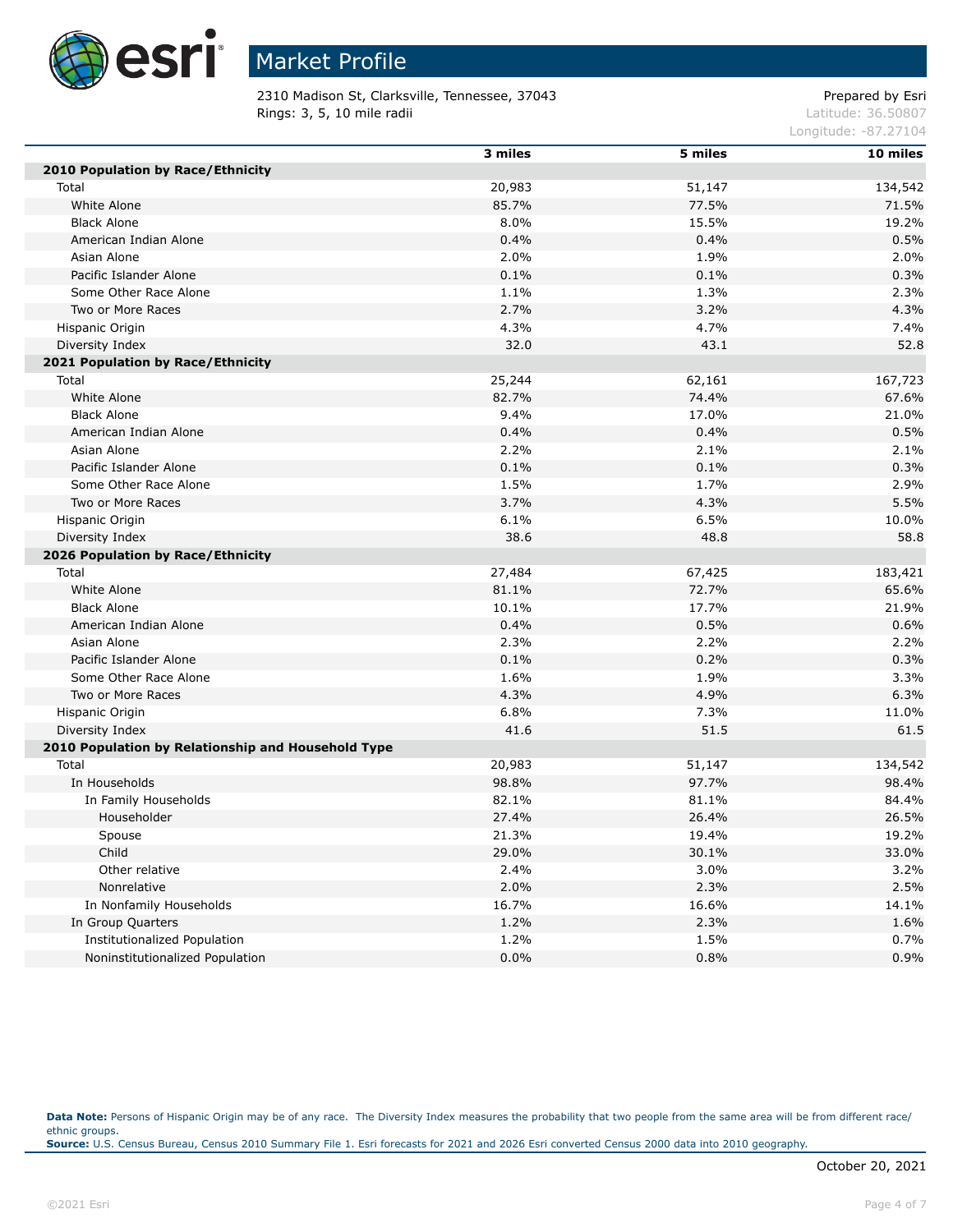

2310 Madison St, Clarksville, Tennessee, 37043 Prepared by Esri **Rings: 3, 5, 10 mile radii**  $\blacksquare$  **Rings: 3, 5, 10 mile radii**  $\blacksquare$ 

Longitude: -87.27104

|                                                    | 3 miles | 5 miles | 10 miles |
|----------------------------------------------------|---------|---------|----------|
| 2010 Population by Race/Ethnicity                  |         |         |          |
| Total                                              | 20,983  | 51,147  | 134,542  |
| White Alone                                        | 85.7%   | 77.5%   | 71.5%    |
| <b>Black Alone</b>                                 | 8.0%    | 15.5%   | 19.2%    |
| American Indian Alone                              | 0.4%    | 0.4%    | 0.5%     |
| Asian Alone                                        | 2.0%    | 1.9%    | 2.0%     |
| Pacific Islander Alone                             | 0.1%    | 0.1%    | 0.3%     |
| Some Other Race Alone                              | 1.1%    | 1.3%    | 2.3%     |
| Two or More Races                                  | 2.7%    | 3.2%    | 4.3%     |
| Hispanic Origin                                    | 4.3%    | 4.7%    | 7.4%     |
| Diversity Index                                    | 32.0    | 43.1    | 52.8     |
| 2021 Population by Race/Ethnicity                  |         |         |          |
| Total                                              | 25,244  | 62,161  | 167,723  |
| White Alone                                        | 82.7%   | 74.4%   | 67.6%    |
| <b>Black Alone</b>                                 | 9.4%    | 17.0%   | 21.0%    |
| American Indian Alone                              | 0.4%    | 0.4%    | 0.5%     |
| Asian Alone                                        | 2.2%    | 2.1%    | 2.1%     |
| Pacific Islander Alone                             | 0.1%    | 0.1%    | 0.3%     |
| Some Other Race Alone                              | 1.5%    | 1.7%    | 2.9%     |
| Two or More Races                                  | 3.7%    | 4.3%    | 5.5%     |
| Hispanic Origin                                    | 6.1%    | 6.5%    | 10.0%    |
| Diversity Index                                    | 38.6    | 48.8    | 58.8     |
| 2026 Population by Race/Ethnicity                  |         |         |          |
| Total                                              | 27,484  | 67,425  | 183,421  |
| White Alone                                        | 81.1%   | 72.7%   | 65.6%    |
| <b>Black Alone</b>                                 | 10.1%   | 17.7%   | 21.9%    |
| American Indian Alone                              | 0.4%    | 0.5%    | 0.6%     |
| Asian Alone                                        | 2.3%    | 2.2%    | 2.2%     |
| Pacific Islander Alone                             | 0.1%    | 0.2%    | 0.3%     |
| Some Other Race Alone                              | 1.6%    | 1.9%    | 3.3%     |
| Two or More Races                                  | 4.3%    | 4.9%    | 6.3%     |
| Hispanic Origin                                    | 6.8%    | 7.3%    | 11.0%    |
| Diversity Index                                    | 41.6    | 51.5    | 61.5     |
| 2010 Population by Relationship and Household Type |         |         |          |
| Total                                              | 20,983  | 51,147  | 134,542  |
| In Households                                      | 98.8%   | 97.7%   | 98.4%    |
| In Family Households                               | 82.1%   | 81.1%   | 84.4%    |
| Householder                                        | 27.4%   | 26.4%   | 26.5%    |
| Spouse                                             | 21.3%   | 19.4%   | 19.2%    |
| Child                                              | 29.0%   | 30.1%   | 33.0%    |
| Other relative                                     | 2.4%    | 3.0%    | 3.2%     |
| Nonrelative                                        | 2.0%    | 2.3%    | 2.5%     |
| In Nonfamily Households                            | 16.7%   | 16.6%   | 14.1%    |
| In Group Quarters                                  | 1.2%    | 2.3%    | 1.6%     |
| Institutionalized Population                       | 1.2%    | 1.5%    | 0.7%     |
| Noninstitutionalized Population                    | 0.0%    | 0.8%    | 0.9%     |

Data Note: Persons of Hispanic Origin may be of any race. The Diversity Index measures the probability that two people from the same area will be from different race/ ethnic groups. **Source:** U.S. Census Bureau, Census 2010 Summary File 1. Esri forecasts for 2021 and 2026 Esri converted Census 2000 data into 2010 geography.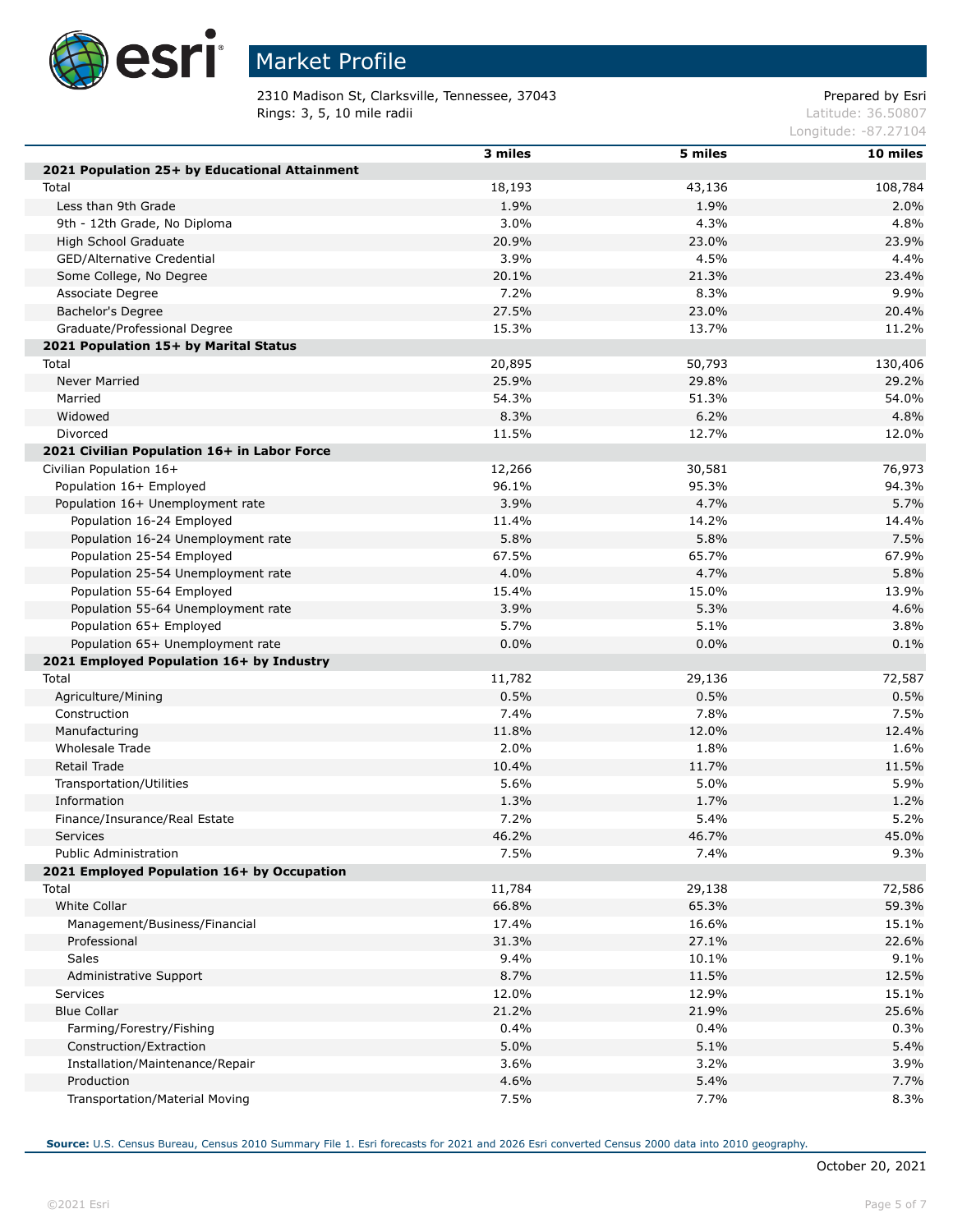

# Market Profile

2310 Madison St, Clarksville, Tennessee, 37043 Prepared by Esri **Rings: 3, 5, 10 mile radii**  $\blacksquare$  **Rings: 3, 5, 10 mile radii**  $\blacksquare$ 

Longitude: -87.27104

|                                               | 3 miles | 5 miles | 10 miles |
|-----------------------------------------------|---------|---------|----------|
| 2021 Population 25+ by Educational Attainment |         |         |          |
| Total                                         | 18,193  | 43,136  | 108,784  |
| Less than 9th Grade                           | 1.9%    | 1.9%    | 2.0%     |
| 9th - 12th Grade, No Diploma                  | 3.0%    | 4.3%    | 4.8%     |
| High School Graduate                          | 20.9%   | 23.0%   | 23.9%    |
| GED/Alternative Credential                    | 3.9%    | 4.5%    | 4.4%     |
| Some College, No Degree                       | 20.1%   | 21.3%   | 23.4%    |
| Associate Degree                              | 7.2%    | 8.3%    | 9.9%     |
| Bachelor's Degree                             | 27.5%   | 23.0%   | 20.4%    |
| Graduate/Professional Degree                  | 15.3%   | 13.7%   | 11.2%    |
| 2021 Population 15+ by Marital Status         |         |         |          |
| Total                                         | 20,895  | 50,793  | 130,406  |
| <b>Never Married</b>                          | 25.9%   | 29.8%   | 29.2%    |
| Married                                       | 54.3%   | 51.3%   | 54.0%    |
| Widowed                                       | 8.3%    | 6.2%    | 4.8%     |
| Divorced                                      | 11.5%   | 12.7%   | 12.0%    |
| 2021 Civilian Population 16+ in Labor Force   |         |         |          |
| Civilian Population 16+                       | 12,266  | 30,581  | 76,973   |
| Population 16+ Employed                       | 96.1%   | 95.3%   | 94.3%    |
| Population 16+ Unemployment rate              | 3.9%    | 4.7%    | 5.7%     |
| Population 16-24 Employed                     | 11.4%   | 14.2%   | 14.4%    |
| Population 16-24 Unemployment rate            | 5.8%    | 5.8%    | 7.5%     |
| Population 25-54 Employed                     | 67.5%   | 65.7%   | 67.9%    |
| Population 25-54 Unemployment rate            | 4.0%    | 4.7%    | 5.8%     |
| Population 55-64 Employed                     | 15.4%   | 15.0%   | 13.9%    |
| Population 55-64 Unemployment rate            | 3.9%    | 5.3%    | 4.6%     |
| Population 65+ Employed                       | 5.7%    | 5.1%    | 3.8%     |
| Population 65+ Unemployment rate              | 0.0%    | 0.0%    | 0.1%     |
| 2021 Employed Population 16+ by Industry      |         |         |          |
| Total                                         | 11,782  | 29,136  | 72,587   |
| Agriculture/Mining                            | 0.5%    | 0.5%    | 0.5%     |
| Construction                                  | 7.4%    | 7.8%    | 7.5%     |
| Manufacturing                                 | 11.8%   | 12.0%   | 12.4%    |
| Wholesale Trade                               | 2.0%    | 1.8%    | 1.6%     |
| Retail Trade                                  | 10.4%   | 11.7%   | 11.5%    |
| Transportation/Utilities                      | 5.6%    | 5.0%    | 5.9%     |
| Information                                   | 1.3%    | 1.7%    | 1.2%     |
| Finance/Insurance/Real Estate                 | 7.2%    | 5.4%    | 5.2%     |
| <b>Services</b>                               | 46.2%   | 46.7%   | 45.0%    |
| Public Administration                         | 7.5%    | 7.4%    | 9.3%     |
| 2021 Employed Population 16+ by Occupation    |         |         |          |
| Total                                         | 11,784  | 29,138  | 72,586   |
| <b>White Collar</b>                           | 66.8%   | 65.3%   | 59.3%    |
| Management/Business/Financial                 | 17.4%   | 16.6%   | 15.1%    |
| Professional                                  | 31.3%   | 27.1%   | 22.6%    |
| <b>Sales</b>                                  | 9.4%    | 10.1%   | 9.1%     |
| Administrative Support                        | 8.7%    | 11.5%   | 12.5%    |
| Services                                      | 12.0%   | 12.9%   | 15.1%    |
| <b>Blue Collar</b>                            | 21.2%   | 21.9%   | 25.6%    |
| Farming/Forestry/Fishing                      | 0.4%    | 0.4%    | 0.3%     |
| Construction/Extraction                       | 5.0%    | 5.1%    | 5.4%     |
| Installation/Maintenance/Repair               | 3.6%    | 3.2%    | 3.9%     |
| Production                                    | 4.6%    | 5.4%    | 7.7%     |
| Transportation/Material Moving                | 7.5%    | 7.7%    | 8.3%     |
|                                               |         |         |          |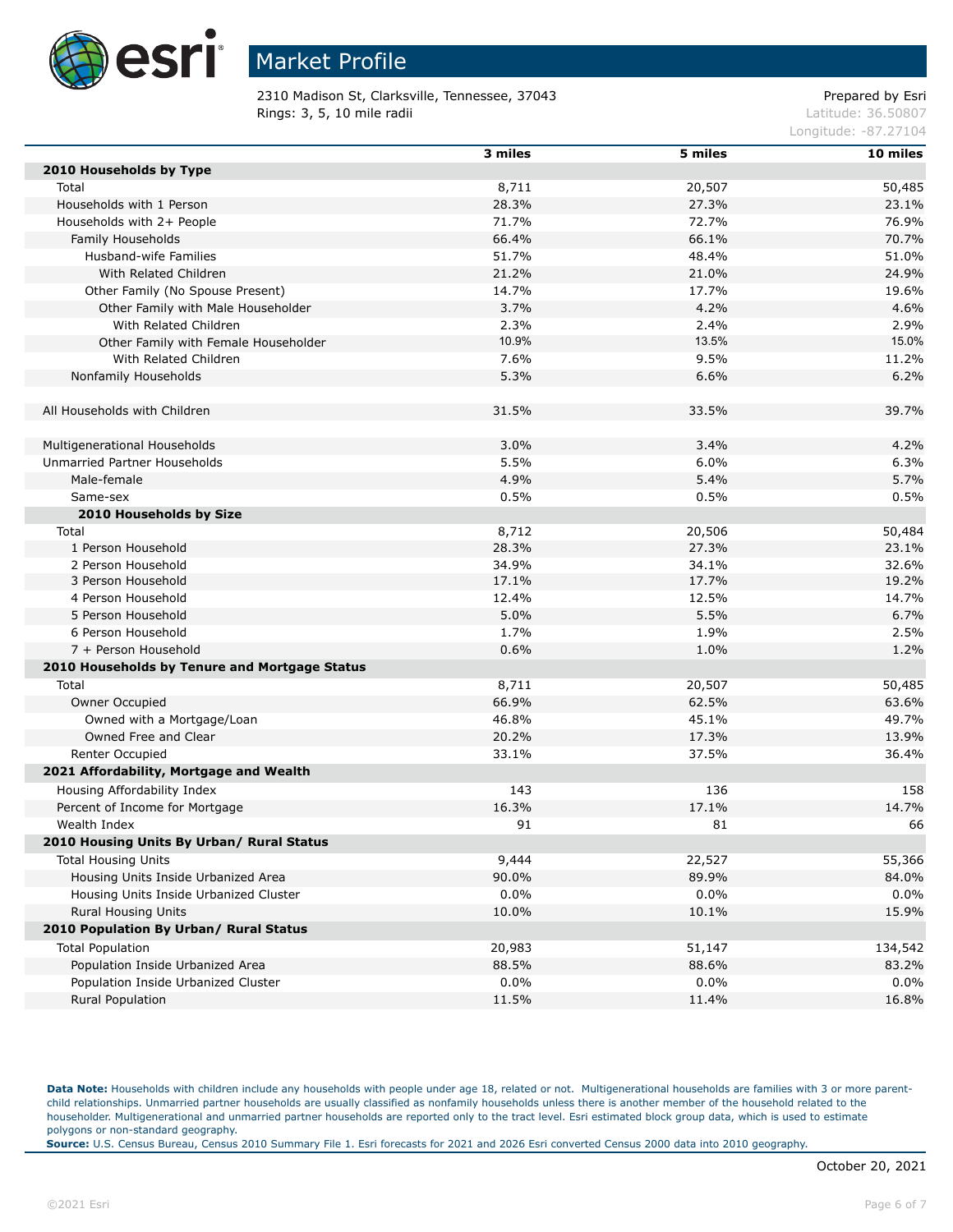

2310 Madison St, Clarksville, Tennessee, 37043 Prepared by Esri Rings: 3, 5, 10 mile radii and the contract of the contract of the contract of the contract of the contract of the contract of the contract of the contract of the contract of the contract of the contract of the contract of

Longitude: -87.27104

|                                               | 3 miles | 5 miles | 10 miles |
|-----------------------------------------------|---------|---------|----------|
| 2010 Households by Type                       |         |         |          |
| Total                                         | 8,711   | 20,507  | 50,485   |
| Households with 1 Person                      | 28.3%   | 27.3%   | 23.1%    |
| Households with 2+ People                     | 71.7%   | 72.7%   | 76.9%    |
| Family Households                             | 66.4%   | 66.1%   | 70.7%    |
| Husband-wife Families                         | 51.7%   | 48.4%   | 51.0%    |
| With Related Children                         | 21.2%   | 21.0%   | 24.9%    |
| Other Family (No Spouse Present)              | 14.7%   | 17.7%   | 19.6%    |
| Other Family with Male Householder            | 3.7%    | 4.2%    | 4.6%     |
| With Related Children                         | 2.3%    | 2.4%    | 2.9%     |
| Other Family with Female Householder          | 10.9%   | 13.5%   | 15.0%    |
| With Related Children                         | 7.6%    | 9.5%    | 11.2%    |
| Nonfamily Households                          | 5.3%    | 6.6%    | 6.2%     |
|                                               |         |         |          |
| All Households with Children                  | 31.5%   | 33.5%   | 39.7%    |
|                                               |         |         |          |
| Multigenerational Households                  | 3.0%    | 3.4%    | 4.2%     |
| Unmarried Partner Households                  | 5.5%    | 6.0%    | 6.3%     |
| Male-female                                   | 4.9%    | 5.4%    | 5.7%     |
| Same-sex                                      | 0.5%    | 0.5%    | 0.5%     |
| 2010 Households by Size                       |         |         |          |
| Total                                         | 8,712   | 20,506  | 50,484   |
| 1 Person Household                            | 28.3%   | 27.3%   | 23.1%    |
| 2 Person Household                            | 34.9%   | 34.1%   | 32.6%    |
| 3 Person Household                            | 17.1%   | 17.7%   | 19.2%    |
| 4 Person Household                            | 12.4%   | 12.5%   | 14.7%    |
| 5 Person Household                            | 5.0%    | 5.5%    | 6.7%     |
| 6 Person Household                            | 1.7%    | 1.9%    | 2.5%     |
| 7 + Person Household                          | 0.6%    | 1.0%    | 1.2%     |
| 2010 Households by Tenure and Mortgage Status |         |         |          |
| Total                                         | 8,711   | 20,507  | 50,485   |
| Owner Occupied                                | 66.9%   | 62.5%   | 63.6%    |
| Owned with a Mortgage/Loan                    | 46.8%   | 45.1%   | 49.7%    |
| Owned Free and Clear                          | 20.2%   | 17.3%   | 13.9%    |
| Renter Occupied                               | 33.1%   | 37.5%   | 36.4%    |
| 2021 Affordability, Mortgage and Wealth       |         |         |          |
| Housing Affordability Index                   | 143     | 136     | 158      |
| Percent of Income for Mortgage                | 16.3%   | 17.1%   | 14.7%    |
| Wealth Index                                  | 91      | 81      | 66       |
| 2010 Housing Units By Urban/ Rural Status     |         |         |          |
| <b>Total Housing Units</b>                    | 9,444   | 22,527  | 55,366   |
| Housing Units Inside Urbanized Area           | 90.0%   | 89.9%   | 84.0%    |
| Housing Units Inside Urbanized Cluster        | 0.0%    | $0.0\%$ | 0.0%     |
| Rural Housing Units                           | 10.0%   | 10.1%   | 15.9%    |
| 2010 Population By Urban/ Rural Status        |         |         |          |
| <b>Total Population</b>                       | 20,983  | 51,147  | 134,542  |
| Population Inside Urbanized Area              | 88.5%   | 88.6%   | 83.2%    |
| Population Inside Urbanized Cluster           | 0.0%    | $0.0\%$ | $0.0\%$  |
| Rural Population                              | 11.5%   | 11.4%   | 16.8%    |
|                                               |         |         |          |

Data Note: Households with children include any households with people under age 18, related or not. Multigenerational households are families with 3 or more parentchild relationships. Unmarried partner households are usually classified as nonfamily households unless there is another member of the household related to the householder. Multigenerational and unmarried partner households are reported only to the tract level. Esri estimated block group data, which is used to estimate polygons or non-standard geography.